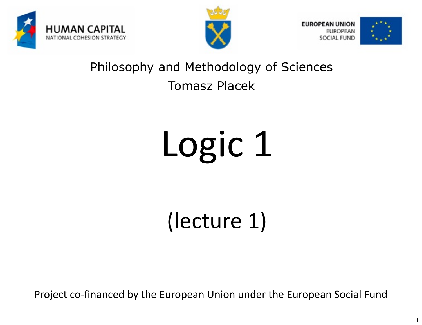



**EUROPEAN UNION UROPEAN** SOCIAL FUND



1

### Philosophy and Methodology of Sciences Tomasz Placek

# Logic 1

(lecture 1)

Project co-financed by the European Union under the European Social Fund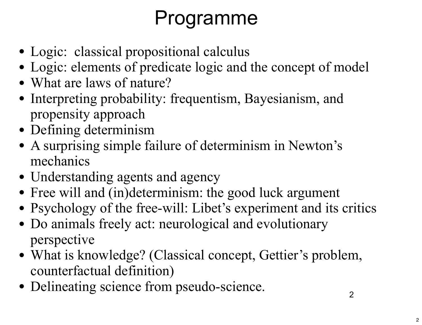## Programme

- Logic: classical propositional calculus
- Logic: elements of predicate logic and the concept of model
- What are laws of nature?
- Interpreting probability: frequentism, Bayesianism, and propensity approach
- Defining determinism
- A surprising simple failure of determinism in Newton's mechanics
- Understanding agents and agency
- Free will and (in)determinism: the good luck argument
- Psychology of the free-will: Libet's experiment and its critics
- Do animals freely act: neurological and evolutionary perspective
- What is knowledge? (Classical concept, Gettier's problem, counterfactual definition)
- Delineating science from pseudo-science.

2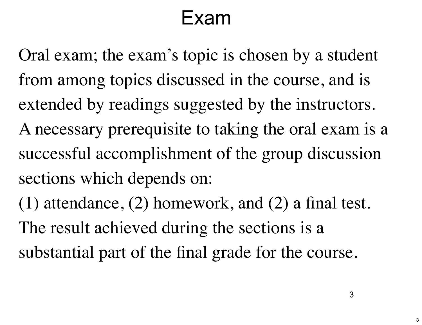## Exam

Oral exam; the exam's topic is chosen by a student from among topics discussed in the course, and is extended by readings suggested by the instructors. A necessary prerequisite to taking the oral exam is a successful accomplishment of the group discussion sections which depends on:

(1) attendance, (2) homework, and (2) a final test. The result achieved during the sections is a substantial part of the final grade for the course.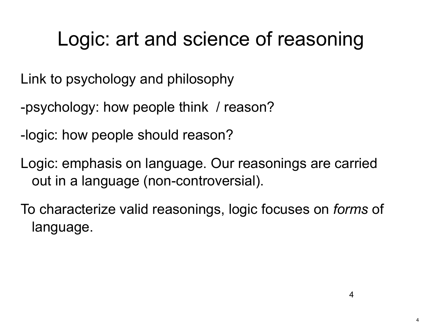## Logic: art and science of reasoning

Link to psychology and philosophy

-psychology: how people think / reason?

-logic: how people should reason?

Logic: emphasis on language. Our reasonings are carried out in a language (non-controversial).

To characterize valid reasonings, logic focuses on *forms* of language.

4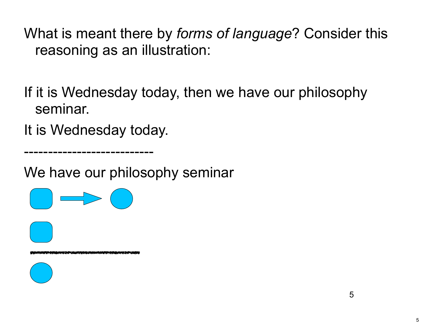What is meant there by *forms of language*? Consider this reasoning as an illustration:

If it is Wednesday today, then we have our philosophy seminar.

It is Wednesday today.

---------------------------

We have our philosophy seminar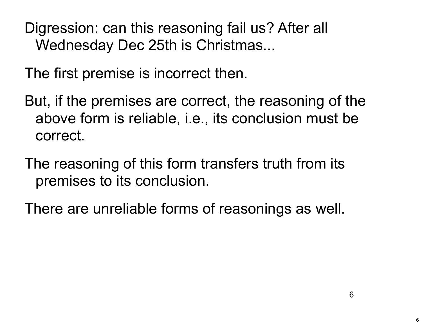Digression: can this reasoning fail us? After all Wednesday Dec 25th is Christmas...

The first premise is incorrect then.

- But, if the premises are correct, the reasoning of the above form is reliable, i.e., its conclusion must be correct.
- The reasoning of this form transfers truth from its premises to its conclusion.

There are unreliable forms of reasonings as well.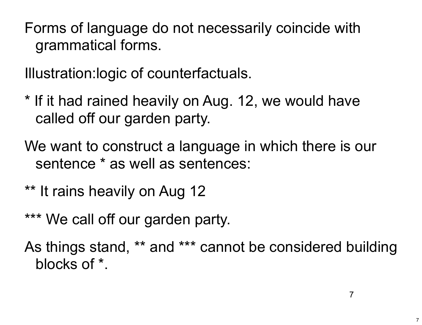Forms of language do not necessarily coincide with grammatical forms.

Illustration:logic of counterfactuals.

- \* If it had rained heavily on Aug. 12, we would have called off our garden party.
- We want to construct a language in which there is our sentence \* as well as sentences:
- \*\* It rains heavily on Aug 12
- \*\*\* We call off our garden party.
- As things stand, \*\* and \*\*\* cannot be considered building blocks of \*.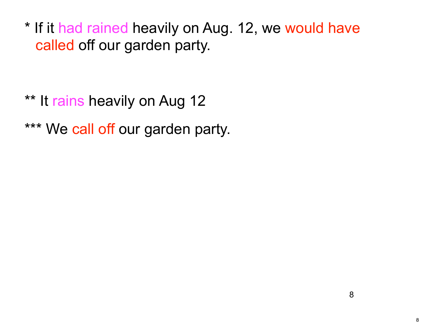\* If it had rained heavily on Aug. 12, we would have called off our garden party.

\*\* It rains heavily on Aug 12 \*\*\* We call off our garden party.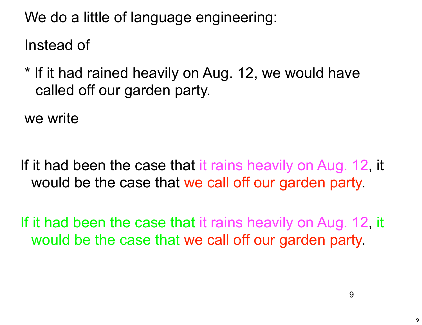We do a little of language engineering:

Instead of

\* If it had rained heavily on Aug. 12, we would have called off our garden party.

we write

If it had been the case that it rains heavily on Aug. 12, it would be the case that we call off our garden party.

If it had been the case that it rains heavily on Aug. 12, it would be the case that we call off our garden party.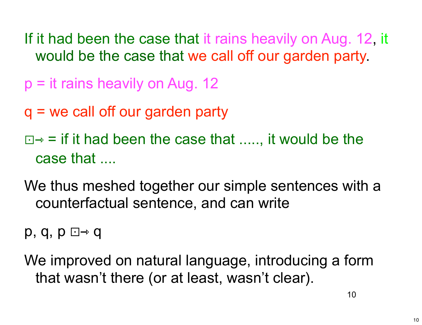- If it had been the case that it rains heavily on Aug. 12, it would be the case that we call off our garden party.
- $p = it$  rains heavily on Aug. 12
- q = we call off our garden party
- $\Box \rightarrow$  = if it had been the case that ....., it would be the case that ....
- We thus meshed together our simple sentences with a counterfactual sentence, and can write

 $p, q, p \Box \rightarrow q$ 

We improved on natural language, introducing a form that wasn't there (or at least, wasn't clear).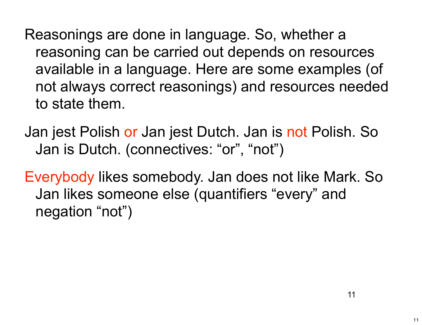Reasonings are done in language. So, whether a reasoning can be carried out depends on resources available in a language. Here are some examples (of not always correct reasonings) and resources needed to state them.

Jan jest Polish or Jan jest Dutch. Jan is not Polish. So Jan is Dutch. (connectives: "or", "not")

Everybody likes somebody. Jan does not like Mark. So Jan likes someone else (quantifiers "every" and negation "not")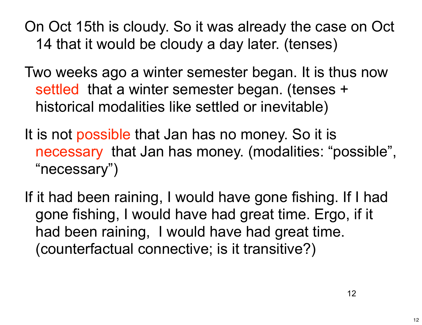On Oct 15th is cloudy. So it was already the case on Oct 14 that it would be cloudy a day later. (tenses)

Two weeks ago a winter semester began. It is thus now settled that a winter semester began. (tenses + historical modalities like settled or inevitable)

- It is not possible that Jan has no money. So it is necessary that Jan has money. (modalities: "possible", "necessary")
- If it had been raining, I would have gone fishing. If I had gone fishing, I would have had great time. Ergo, if it had been raining, I would have had great time. (counterfactual connective; is it transitive?)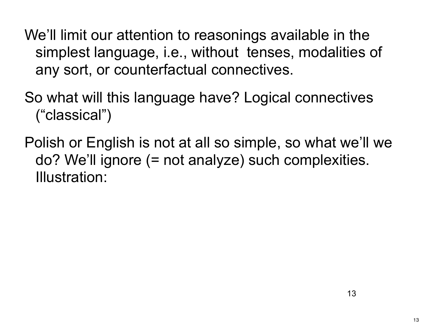We'll limit our attention to reasonings available in the simplest language, i.e., without tenses, modalities of any sort, or counterfactual connectives.

So what will this language have? Logical connectives ("classical")

Polish or English is not at all so simple, so what we'll we do? We'll ignore (= not analyze) such complexities. Illustration: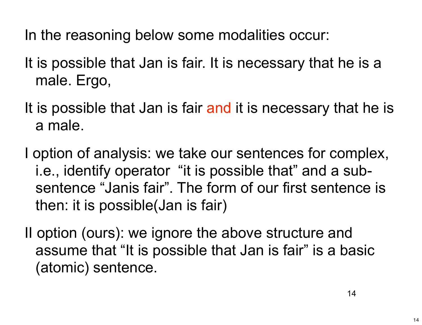In the reasoning below some modalities occur:

- It is possible that Jan is fair. It is necessary that he is a male. Ergo,
- It is possible that Jan is fair and it is necessary that he is a male.
- I option of analysis: we take our sentences for complex, i.e., identify operator "it is possible that" and a subsentence "Janis fair". The form of our first sentence is then: it is possible(Jan is fair)
- II option (ours): we ignore the above structure and assume that "It is possible that Jan is fair" is a basic (atomic) sentence.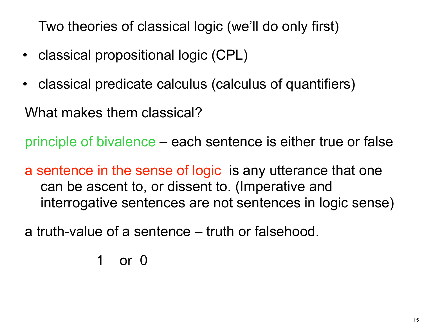Two theories of classical logic (we'll do only first)

- classical propositional logic (CPL)
- classical predicate calculus (calculus of quantifiers)

What makes them classical?

principle of bivalence – each sentence is either true or false

a sentence in the sense of logic is any utterance that one can be ascent to, or dissent to. (Imperative and interrogative sentences are not sentences in logic sense)

a truth-value of a sentence – truth or falsehood.

 1 or 0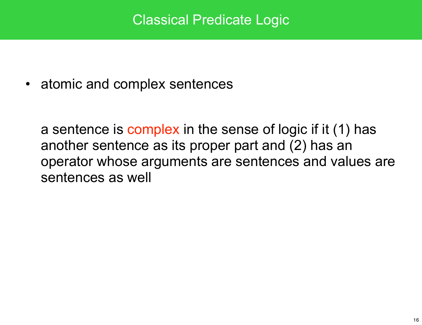#### Classical Predicate Logic

• atomic and complex sentences

a sentence is complex in the sense of logic if it (1) has another sentence as its proper part and (2) has an operator whose arguments are sentences and values are sentences as well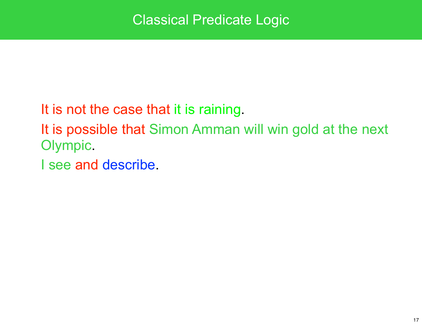It is not the case that it is raining.

It is possible that Simon Amman will win gold at the next Olympic.

I see and describe.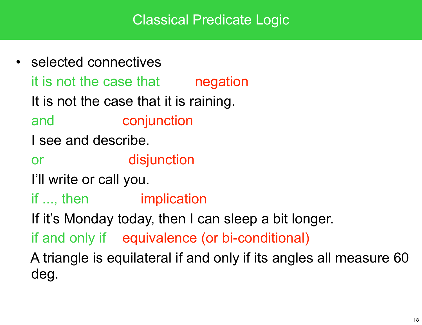#### Classical Predicate Logic

• selected connectives it is not the case that **negation** It is not the case that it is raining. and conjunction I see and describe. or **disjunction**  I'll write or call you. if ..., then *implication*  If it's Monday today, then I can sleep a bit longer. if and only if equivalence (or bi-conditional) A triangle is equilateral if and only if its angles all measure 60 deg.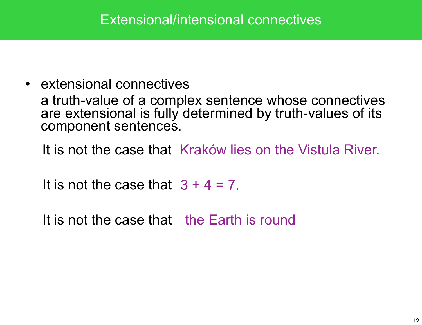• extensional connectives a truth-value of a complex sentence whose connectives are extensional is fully determined by truth-values of its component sentences.

It is not the case that Kraków lies on the Vistula River.

It is not the case that  $3 + 4 = 7$ .

It is not the case that the Earth is round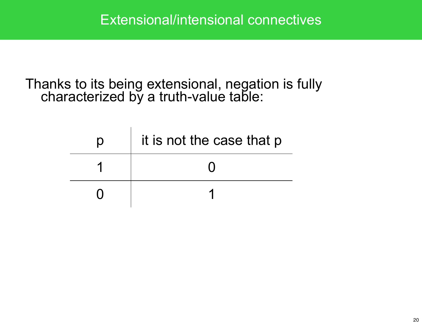Thanks to its being extensional, negation is fully characterized by a truth-value table:

| $\mathsf{D}$ | it is not the case that p |
|--------------|---------------------------|
|              |                           |
|              |                           |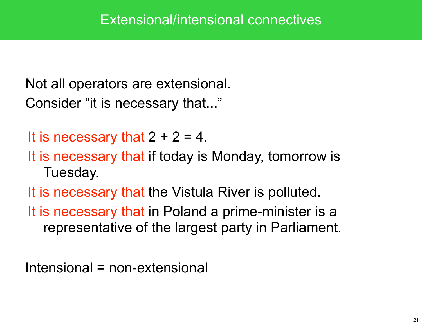Not all operators are extensional. Consider "it is necessary that..."

It is necessary that  $2 + 2 = 4$ .

It is necessary that if today is Monday, tomorrow is Tuesday.

It is necessary that the Vistula River is polluted.

It is necessary that in Poland a prime-minister is a representative of the largest party in Parliament.

Intensional = non-extensional